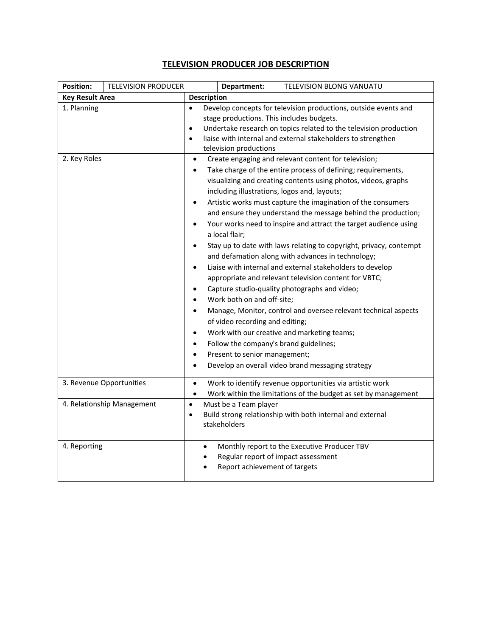## **TELEVISION PRODUCER JOB DESCRIPTION**

| <b>Position:</b>       | <b>TELEVISION PRODUCER</b> |                                                                                                                                                                                                                                                                                                                    | Department:                                                                                                                                                                                                                                                                                                                                                                                                                                                                                                                                                                                                                                                                                                    | TELEVISION BLONG VANUATU                                                                                                                                                                                             |  |
|------------------------|----------------------------|--------------------------------------------------------------------------------------------------------------------------------------------------------------------------------------------------------------------------------------------------------------------------------------------------------------------|----------------------------------------------------------------------------------------------------------------------------------------------------------------------------------------------------------------------------------------------------------------------------------------------------------------------------------------------------------------------------------------------------------------------------------------------------------------------------------------------------------------------------------------------------------------------------------------------------------------------------------------------------------------------------------------------------------------|----------------------------------------------------------------------------------------------------------------------------------------------------------------------------------------------------------------------|--|
| <b>Key Result Area</b> |                            | <b>Description</b>                                                                                                                                                                                                                                                                                                 |                                                                                                                                                                                                                                                                                                                                                                                                                                                                                                                                                                                                                                                                                                                |                                                                                                                                                                                                                      |  |
| 1. Planning            |                            | Develop concepts for television productions, outside events and<br>$\bullet$<br>stage productions. This includes budgets.<br>Undertake research on topics related to the television production<br>$\bullet$<br>liaise with internal and external stakeholders to strengthen<br>$\bullet$<br>television productions |                                                                                                                                                                                                                                                                                                                                                                                                                                                                                                                                                                                                                                                                                                                |                                                                                                                                                                                                                      |  |
| 2. Key Roles           |                            | $\bullet$<br>$\bullet$<br>$\bullet$<br>$\bullet$<br>$\bullet$<br>$\bullet$                                                                                                                                                                                                                                         | Create engaging and relevant content for television;<br>Take charge of the entire process of defining; requirements,<br>visualizing and creating contents using photos, videos, graphs<br>including illustrations, logos and, layouts;<br>Artistic works must capture the imagination of the consumers<br>and ensure they understand the message behind the production;<br>Your works need to inspire and attract the target audience using<br>a local flair;<br>Stay up to date with laws relating to copyright, privacy, contempt<br>and defamation along with advances in technology;<br>Liaise with internal and external stakeholders to develop<br>appropriate and relevant television content for VBTC; |                                                                                                                                                                                                                      |  |
|                        |                            | $\bullet$<br>$\bullet$<br>٠<br>$\bullet$<br>$\bullet$<br>٠                                                                                                                                                                                                                                                         | Work both on and off-site;<br>of video recording and editing;<br>Follow the company's brand guidelines;<br>Present to senior management;                                                                                                                                                                                                                                                                                                                                                                                                                                                                                                                                                                       | Capture studio-quality photographs and video;<br>Manage, Monitor, control and oversee relevant technical aspects<br>Work with our creative and marketing teams;<br>Develop an overall video brand messaging strategy |  |
|                        | 3. Revenue Opportunities   | $\bullet$<br>$\bullet$                                                                                                                                                                                                                                                                                             |                                                                                                                                                                                                                                                                                                                                                                                                                                                                                                                                                                                                                                                                                                                | Work to identify revenue opportunities via artistic work<br>Work within the limitations of the budget as set by management                                                                                           |  |
|                        | 4. Relationship Management | $\bullet$<br>$\bullet$                                                                                                                                                                                                                                                                                             | Must be a Team player<br>stakeholders                                                                                                                                                                                                                                                                                                                                                                                                                                                                                                                                                                                                                                                                          | Build strong relationship with both internal and external                                                                                                                                                            |  |
| 4. Reporting           |                            | $\bullet$                                                                                                                                                                                                                                                                                                          | Regular report of impact assessment<br>Report achievement of targets                                                                                                                                                                                                                                                                                                                                                                                                                                                                                                                                                                                                                                           | Monthly report to the Executive Producer TBV                                                                                                                                                                         |  |